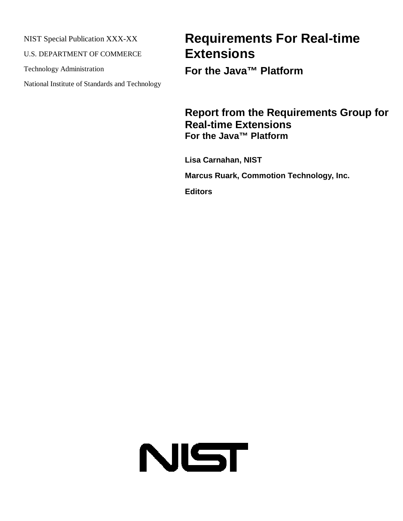NIST Special Publication XXX-XX

U.S. DEPARTMENT OF COMMERCE

Technology Administration

National Institute of Standards and Technology

# **Requirements For Real-time Extensions**

**For the Java™ Platform**

## **Report from the Requirements Group for Real-time Extensions For the Java™ Platform**

**Lisa Carnahan, NIST Marcus Ruark, Commotion Technology, Inc.**

**Editors**

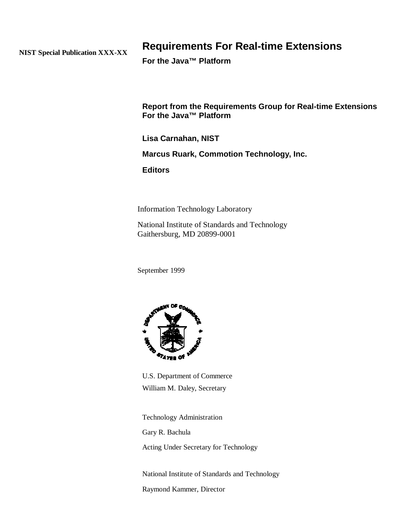**NIST Special Publication XXX-XX**

## **Requirements For Real-time Extensions**

**For the Java™ Platform**

**Report from the Requirements Group for Real-time Extensions For the Java™ Platform**

**Lisa Carnahan, NIST**

**Marcus Ruark, Commotion Technology, Inc.**

**Editors**

Information Technology Laboratory

National Institute of Standards and Technology Gaithersburg, MD 20899-0001

September 1999



U.S. Department of Commerce William M. Daley, Secretary

Technology Administration

Gary R. Bachula

Acting Under Secretary for Technology

National Institute of Standards and Technology Raymond Kammer, Director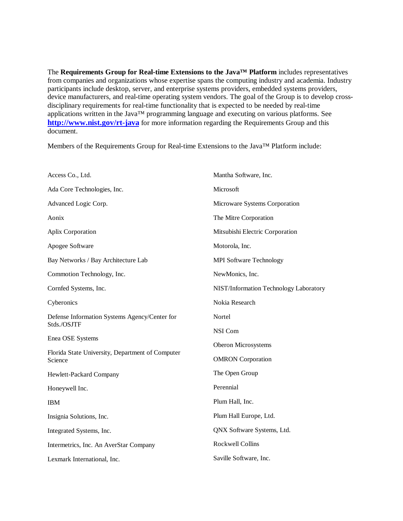The **Requirements Group for Real-time Extensions to the Java™ Platform** includes representatives from companies and organizations whose expertise spans the computing industry and academia. Industry participants include desktop, server, and enterprise systems providers, embedded systems providers, device manufacturers, and real-time operating system vendors. The goal of the Group is to develop crossdisciplinary requirements for real-time functionality that is expected to be needed by real-time applications written in the Java™ programming language and executing on various platforms. See **http://www.nist.gov/rt-java** for more information regarding the Requirements Group and this document.

Members of the Requirements Group for Real-time Extensions to the Java™ Platform include:

| Access Co., Ltd.                                             | Mantha Software, Inc.                  |
|--------------------------------------------------------------|----------------------------------------|
| Ada Core Technologies, Inc.                                  | Microsoft                              |
| Advanced Logic Corp.                                         | Microware Systems Corporation          |
| Aonix                                                        | The Mitre Corporation                  |
| Aplix Corporation                                            | Mitsubishi Electric Corporation        |
| Apogee Software                                              | Motorola, Inc.                         |
| Bay Networks / Bay Architecture Lab                          | <b>MPI Software Technology</b>         |
| Commotion Technology, Inc.                                   | NewMonics, Inc.                        |
| Cornfed Systems, Inc.                                        | NIST/Information Technology Laboratory |
| Cyberonics                                                   | Nokia Research                         |
| Defense Information Systems Agency/Center for<br>Stds./OSJTF | Nortel                                 |
|                                                              | NSI Com                                |
| Enea OSE Systems                                             | Oberon Microsystems                    |
| Florida State University, Department of Computer<br>Science  | <b>OMRON</b> Corporation               |
| Hewlett-Packard Company                                      | The Open Group                         |
| Honeywell Inc.                                               | Perennial                              |
| <b>IBM</b>                                                   | Plum Hall, Inc.                        |
| Insignia Solutions, Inc.                                     | Plum Hall Europe, Ltd.                 |
| Integrated Systems, Inc.                                     | QNX Software Systems, Ltd.             |
| Intermetrics, Inc. An AverStar Company                       | Rockwell Collins                       |
| Lexmark International, Inc.                                  | Saville Software, Inc.                 |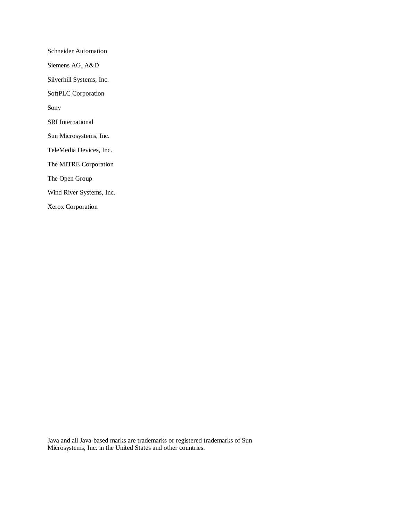Schneider Automation Siemens AG, A&D Silverhill Systems, Inc. SoftPLC Corporation Sony SRI International Sun Microsystems, Inc. TeleMedia Devices, Inc. The MITRE Corporation The Open Group Wind River Systems, Inc. Xerox Corporation

Java and all Java-based marks are trademarks or registered trademarks of Sun Microsystems, Inc. in the United States and other countries.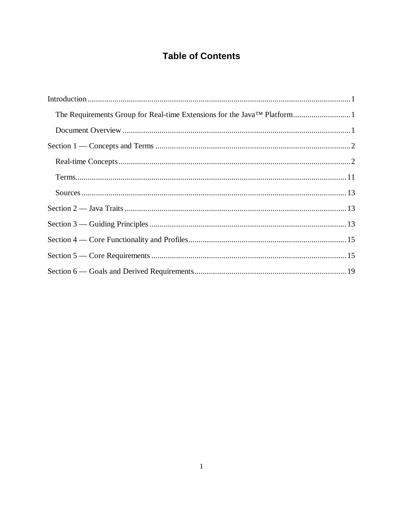## **Table of Contents**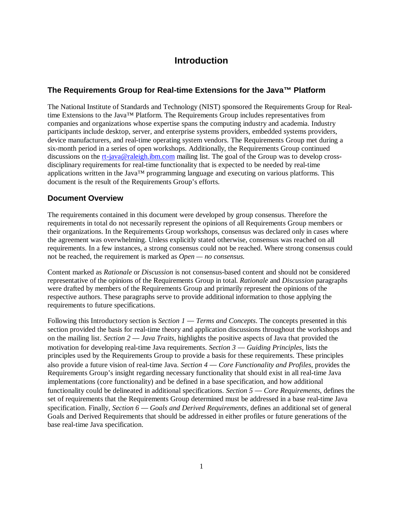## **Introduction**

## **The Requirements Group for Real-time Extensions for the Java™ Platform**

The National Institute of Standards and Technology (NIST) sponsored the Requirements Group for Realtime Extensions to the Java™ Platform. The Requirements Group includes representatives from companies and organizations whose expertise spans the computing industry and academia. Industry participants include desktop, server, and enterprise systems providers, embedded systems providers, device manufacturers, and real-time operating system vendors. The Requirements Group met during a six-month period in a series of open workshops. Additionally, the Requirements Group continued discussions on the rt-java@raleigh.ibm.com mailing list. The goal of the Group was to develop crossdisciplinary requirements for real-time functionality that is expected to be needed by real-time applications written in the Java™ programming language and executing on various platforms. This document is the result of the Requirements Group's efforts.

## **Document Overview**

The requirements contained in this document were developed by group consensus. Therefore the requirements in total do not necessarily represent the opinions of all Requirements Group members or their organizations. In the Requirements Group workshops, consensus was declared only in cases where the agreement was overwhelming. Unless explicitly stated otherwise, consensus was reached on all requirements. In a few instances, a strong consensus could not be reached. Where strong consensus could not be reached, the requirement is marked as *Open — no consensus.*

Content marked as *Rationale* or *Discussion* is not consensus-based content and should not be considered representative of the opinions of the Requirements Group in total. *Rationale* and *Discussion* paragraphs were drafted by members of the Requirements Group and primarily represent the opinions of the respective authors. These paragraphs serve to provide additional information to those applying the requirements to future specifications.

Following this Introductory section is *Section 1 — Terms and Concepts*. The concepts presented in this section provided the basis for real-time theory and application discussions throughout the workshops and on the mailing list. *Section 2 — Java Traits*, highlights the positive aspects of Java that provided the motivation for developing real-time Java requirements. *Section 3 — Guiding Principles*, lists the principles used by the Requirements Group to provide a basis for these requirements. These principles also provide a future vision of real-time Java. *Section 4 — Core Functionality and Profiles*, provides the Requirements Group's insight regarding necessary functionality that should exist in all real-time Java implementations (core functionality) and be defined in a base specification, and how additional functionality could be delineated in additional specifications. *Section 5 — Core Requirements*, defines the set of requirements that the Requirements Group determined must be addressed in a base real-time Java specification. Finally, *Section 6 — Goals and Derived Requirements*, defines an additional set of general Goals and Derived Requirements that should be addressed in either profiles or future generations of the base real-time Java specification.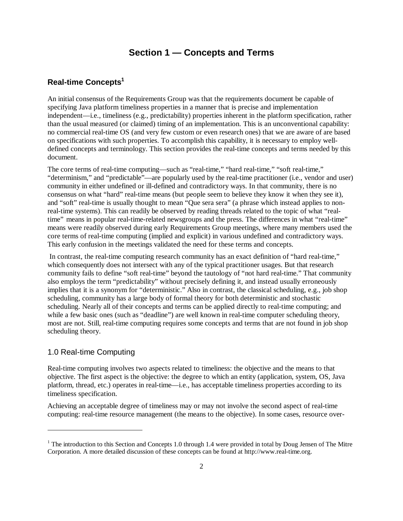## **Section 1 — Concepts and Terms**

## **Real-time Concepts<sup>1</sup>**

An initial consensus of the Requirements Group was that the requirements document be capable of specifying Java platform timeliness properties in a manner that is precise and implementation independent— i.e., timeliness (e.g., predictability) properties inherent in the platform specification, rather than the usual measured (or claimed) timing of an implementation. This is an unconventional capability: no commercial real-time OS (and very few custom or even research ones) that we are aware of are based on specifications with such properties. To accomplish this capability, it is necessary to employ welldefined concepts and terminology. This section provides the real-time concepts and terms needed by this document.

The core terms of real-time computing— such as "real-time," "hard real-time," "soft real-time," "determinism," and "predictable"— are popularly used by the real-time practitioner (i.e., vendor and user) community in either undefined or ill-defined and contradictory ways. In that community, there is no consensus on what "hard" real-time means (but people seem to believe they know it when they see it), and "soft" real-time is usually thought to mean "Que sera sera" (a phrase which instead applies to nonreal-time systems). This can readily be observed by reading threads related to the topic of what "realtime" means in popular real-time-related newsgroups and the press. The differences in what "real-time" means were readily observed during early Requirements Group meetings, where many members used the core terms of real-time computing (implied and explicit) in various undefined and contradictory ways. This early confusion in the meetings validated the need for these terms and concepts.

 In contrast, the real-time computing research community has an exact definition of "hard real-time," which consequently does not intersect with any of the typical practitioner usages. But that research community fails to define "soft real-time" beyond the tautology of "not hard real-time." That community also employs the term "predictability" without precisely defining it, and instead usually erroneously implies that it is a synonym for "deterministic." Also in contrast, the classical scheduling, e.g., job shop scheduling, community has a large body of formal theory for both deterministic and stochastic scheduling. Nearly all of their concepts and terms can be applied directly to real-time computing; and while a few basic ones (such as "deadline") are well known in real-time computer scheduling theory, most are not. Still, real-time computing requires some concepts and terms that are not found in job shop scheduling theory.

## 1.0 Real-time Computing

<u>.</u>

Real-time computing involves two aspects related to timeliness: the objective and the means to that objective. The first aspect is the objective: the degree to which an entity (application, system, OS, Java platform, thread, etc.) operates in real-time— i.e., has acceptable timeliness properties according to its timeliness specification.

Achieving an acceptable degree of timeliness may or may not involve the second aspect of real-time computing: real-time resource management (the means to the objective). In some cases, resource over-

 $1$ <sup>1</sup> The introduction to this Section and Concepts 1.0 through 1.4 were provided in total by Doug Jensen of The Mitre Corporation. A more detailed discussion of these concepts can be found at http://www.real-time.org.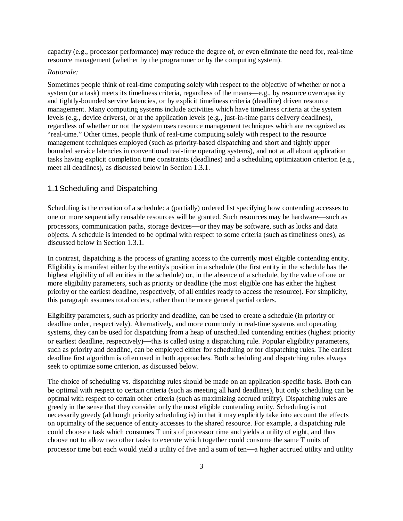capacity (e.g., processor performance) may reduce the degree of, or even eliminate the need for, real-time resource management (whether by the programmer or by the computing system).

#### *Rationale:*

Sometimes people think of real-time computing solely with respect to the objective of whether or not a system (or a task) meets its timeliness criteria, regardless of the means—e.g., by resource overcapacity and tightly-bounded service latencies, or by explicit timeliness criteria (deadline) driven resource management. Many computing systems include activities which have timeliness criteria at the system levels (e.g., device drivers), or at the application levels (e.g., just-in-time parts delivery deadlines), regardless of whether or not the system uses resource management techniques which are recognized as "real-time."Other times, people think of real-time computing solely with respect to the resource management techniques employed (such as priority-based dispatching and short and tightly upper bounded service latencies in conventional real-time operating systems), and not at all about application tasks having explicit completion time constraints (deadlines) and a scheduling optimization criterion (e.g., meet all deadlines), as discussed below in Section 1.3.1.

## 1.1Scheduling and Dispatching

Scheduling is the creation of a schedule: a (partially) ordered list specifying how contending accesses to one or more sequentially reusable resources will be granted. Such resources may be hardware— such as processors, communication paths, storage devices— or they may be software, such as locks and data objects. A schedule is intended to be optimal with respect to some criteria (such as timeliness ones), as discussed below in Section 1.3.1.

In contrast, dispatching is the process of granting access to the currently most eligible contending entity. Eligibility is manifest either by the entity's position in a schedule (the first entity in the schedule has the highest eligibility of all entities in the schedule) or, in the absence of a schedule, by the value of one or more eligibility parameters, such as priority or deadline (the most eligible one has either the highest priority or the earliest deadline, respectively, of all entities ready to access the resource). For simplicity, this paragraph assumes total orders, rather than the more general partial orders.

Eligibility parameters, such as priority and deadline, can be used to create a schedule (in priority or deadline order, respectively). Alternatively, and more commonly in real-time systems and operating systems, they can be used for dispatching from a heap of unscheduled contending entities (highest priority or earliest deadline, respectively)— this is called using a dispatching rule. Popular eligibility parameters, such as priority and deadline, can be employed either for scheduling or for dispatching rules. The earliest deadline first algorithm is often used in both approaches. Both scheduling and dispatching rules always seek to optimize some criterion, as discussed below.

The choice of scheduling vs. dispatching rules should be made on an application-specific basis. Both can be optimal with respect to certain criteria (such as meeting all hard deadlines), but only scheduling can be optimal with respect to certain other criteria (such as maximizing accrued utility). Dispatching rules are greedy in the sense that they consider only the most eligible contending entity. Scheduling is not necessarily greedy (although priority scheduling is) in that it may explicitly take into account the effects on optimality of the sequence of entity accesses to the shared resource. For example, a dispatching rule could choose a task which consumes T units of processor time and yields a utility of eight, and thus choose not to allow two other tasks to execute which together could consume the same T units of processor time but each would yield a utility of five and a sum of ten— a higher accrued utility and utility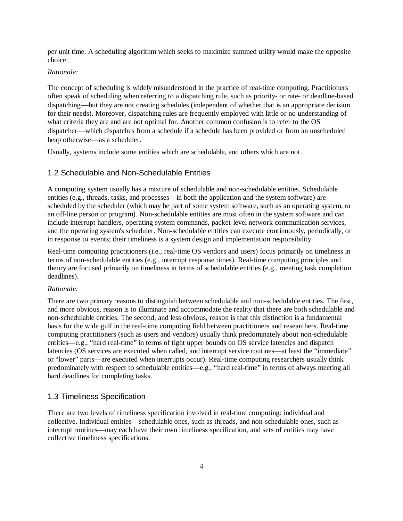per unit time. A scheduling algorithm which seeks to maximize summed utility would make the opposite choice.

## *Rationale:*

The concept of scheduling is widely misunderstood in the practice of real-time computing. Practitioners often speak of scheduling when referring to a dispatching rule, such as priority- or rate- or deadline-based dispatching— but they are not creating schedules (independent of whether that is an appropriate decision for their needs). Moreover, dispatching rules are frequently employed with little or no understanding of what criteria they are and are not optimal for. Another common confusion is to refer to the OS dispatcher— which dispatches from a schedule if a schedule has been provided or from an unscheduled heap otherwise— as a scheduler.

Usually, systems include some entities which are schedulable, and others which are not.

## 1.2 Schedulable and Non-Schedulable Entities

A computing system usually has a mixture of schedulable and non-schedulable entities. Schedulable entities (e.g., threads, tasks, and processes—in both the application and the system software) are scheduled by the scheduler (which may be part of some system software, such as an operating system, or an off-line person or program). Non-schedulable entities are most often in the system software and can include interrupt handlers, operating system commands, packet-level network communication services, and the operating system's scheduler. Non-schedulable entities can execute continuously, periodically, or in response to events; their timeliness is a system design and implementation responsibility.

Real-time computing practitioners (i.e., real-time OS vendors and users) focus primarily on timeliness in terms of non-schedulable entities (e.g., interrupt response times). Real-time computing principles and theory are focused primarily on timeliness in terms of schedulable entities (e.g., meeting task completion deadlines).

### *Rationale:*

There are two primary reasons to distinguish between schedulable and non-schedulable entities. The first, and more obvious, reason is to illuminate and accommodate the reality that there are both schedulable and non-schedulable entities. The second, and less obvious, reason is that this distinction is a fundamental basis for the wide gulf in the real-time computing field between practitioners and researchers. Real-time computing practitioners (such as users and vendors) usually think predominately about non-schedulable entities—e.g., "hard real-time" in terms of tight upper bounds on OS service latencies and dispatch latencies (OS services are executed when called, and interrupt service routines— at least the "immediate" or "lower" parts— are executed when interrupts occur). Real-time computing researchers usually think predominately with respect to schedulable entities— e.g., "hard real-time" in terms of always meeting all hard deadlines for completing tasks.

## 1.3 Timeliness Specification

There are two levels of timeliness specification involved in real-time computing: individual and collective. Individual entities— schedulable ones, such as threads, and non-schedulable ones, such as interrupt routines— may each have their own timeliness specification, and sets of entities may have collective timeliness specifications.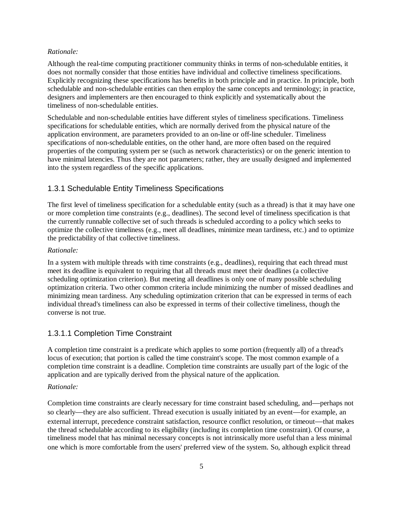#### *Rationale:*

Although the real-time computing practitioner community thinks in terms of non-schedulable entities, it does not normally consider that those entities have individual and collective timeliness specifications. Explicitly recognizing these specifications has benefits in both principle and in practice. In principle, both schedulable and non-schedulable entities can then employ the same concepts and terminology; in practice, designers and implementers are then encouraged to think explicitly and systematically about the timeliness of non-schedulable entities.

Schedulable and non-schedulable entities have different styles of timeliness specifications. Timeliness specifications for schedulable entities, which are normally derived from the physical nature of the application environment, are parameters provided to an on-line or off-line scheduler. Timeliness specifications of non-schedulable entities, on the other hand, are more often based on the required properties of the computing system per se (such as network characteristics) or on the generic intention to have minimal latencies. Thus they are not parameters; rather, they are usually designed and implemented into the system regardless of the specific applications.

## 1.3.1 Schedulable Entity Timeliness Specifications

The first level of timeliness specification for a schedulable entity (such as a thread) is that it may have one or more completion time constraints (e.g., deadlines). The second level of timeliness specification is that the currently runnable collective set of such threads is scheduled according to a policy which seeks to optimize the collective timeliness (e.g., meet all deadlines, minimize mean tardiness, etc.) and to optimize the predictability of that collective timeliness.

#### *Rationale:*

In a system with multiple threads with time constraints (e.g., deadlines), requiring that each thread must meet its deadline is equivalent to requiring that all threads must meet their deadlines (a collective scheduling optimization criterion). But meeting all deadlines is only one of many possible scheduling optimization criteria. Two other common criteria include minimizing the number of missed deadlines and minimizing mean tardiness. Any scheduling optimization criterion that can be expressed in terms of each individual thread's timeliness can also be expressed in terms of their collective timeliness, though the converse is not true.

## 1.3.1.1 Completion Time Constraint

A completion time constraint is a predicate which applies to some portion (frequently all) of a thread's locus of execution; that portion is called the time constraint's scope. The most common example of a completion time constraint is a deadline. Completion time constraints are usually part of the logic of the application and are typically derived from the physical nature of the application.

#### *Rationale:*

Completion time constraints are clearly necessary for time constraint based scheduling, and— perhaps not so clearly— they are also sufficient. Thread execution is usually initiated by an event— for example, an external interrupt, precedence constraint satisfaction, resource conflict resolution, or timeout— that makes the thread schedulable according to its eligibility (including its completion time constraint). Of course, a timeliness model that has minimal necessary concepts is not intrinsically more useful than a less minimal one which is more comfortable from the users' preferred view of the system. So, although explicit thread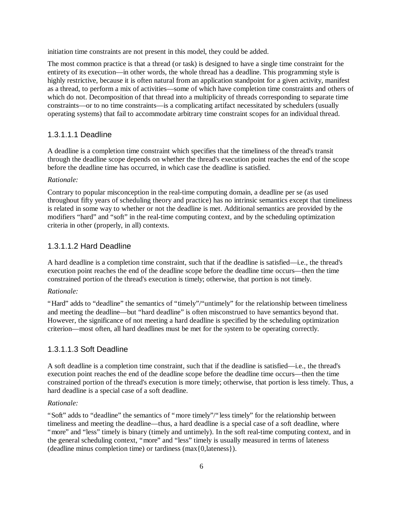initiation time constraints are not present in this model, they could be added.

The most common practice is that a thread (or task) is designed to have a single time constraint for the entirety of its execution—in other words, the whole thread has a deadline. This programming style is highly restrictive, because it is often natural from an application standpoint for a given activity, manifest as a thread, to perform a mix of activities— some of which have completion time constraints and others of which do not. Decomposition of that thread into a multiplicity of threads corresponding to separate time constraints— or to no time constraints— is a complicating artifact necessitated by schedulers (usually operating systems) that fail to accommodate arbitrary time constraint scopes for an individual thread.

## 1.3.1.1.1 Deadline

A deadline is a completion time constraint which specifies that the timeliness of the thread's transit through the deadline scope depends on whether the thread's execution point reaches the end of the scope before the deadline time has occurred, in which case the deadline is satisfied.

## *Rationale:*

Contrary to popular misconception in the real-time computing domain, a deadline per se (as used throughout fifty years of scheduling theory and practice) has no intrinsic semantics except that timeliness is related in some way to whether or not the deadline is met. Additional semantics are provided by the modifiers "hard" and "soft" in the real-time computing context, and by the scheduling optimization criteria in other (properly, in all) contexts.

## 1.3.1.1.2 Hard Deadline

A hard deadline is a completion time constraint, such that if the deadline is satisfied— i.e., the thread's execution point reaches the end of the deadline scope before the deadline time occurs— then the time constrained portion of the thread's execution is timely; otherwise, that portion is not timely.

## *Rationale:*

"Hard" adds to "deadline" the semantics of "timely"/"untimely" for the relationship between timeliness and meeting the deadline— but "hard deadline" is often misconstrued to have semantics beyond that. However, the significance of not meeting a hard deadline is specified by the scheduling optimization criterion— most often, all hard deadlines must be met for the system to be operating correctly.

## 1.3.1.1.3 Soft Deadline

A soft deadline is a completion time constraint, such that if the deadline is satisfied— i.e., the thread's execution point reaches the end of the deadline scope before the deadline time occurs— then the time constrained portion of the thread's execution is more timely; otherwise, that portion is less timely. Thus, a hard deadline is a special case of a soft deadline.

### *Rationale:*

"Soft" adds to "deadline" the semantics of "more timely"/"less timely" for the relationship between timeliness and meeting the deadline— thus, a hard deadline is a special case of a soft deadline, where "more" and "less" timely is binary (timely and untimely). In the soft real-time computing context, and in the general scheduling context, "more" and "less" timely is usually measured in terms of lateness (deadline minus completion time) or tardiness (max{0,lateness}).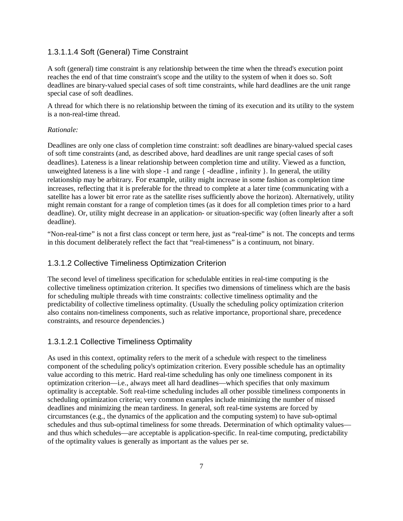## 1.3.1.1.4 Soft (General) Time Constraint

A soft (general) time constraint is any relationship between the time when the thread's execution point reaches the end of that time constraint's scope and the utility to the system of when it does so. Soft deadlines are binary-valued special cases of soft time constraints, while hard deadlines are the unit range special case of soft deadlines.

A thread for which there is no relationship between the timing of its execution and its utility to the system is a non-real-time thread.

#### *Rationale:*

Deadlines are only one class of completion time constraint: soft deadlines are binary-valued special cases of soft time constraints (and, as described above, hard deadlines are unit range special cases of soft deadlines). Lateness is a linear relationship between completion time and utility. Viewed as a function, unweighted lateness is a line with slope -1 and range  $\{\cdot\}$ -deadline, infinity  $\}$ . In general, the utility relationship may be arbitrary. For example, utility might increase in some fashion as completion time increases, reflecting that it is preferable for the thread to complete at a later time (communicating with a satellite has a lower bit error rate as the satellite rises sufficiently above the horizon). Alternatively, utility might remain constant for a range of completion times (as it does for all completion times prior to a hard deadline). Or, utility might decrease in an application- or situation-specific way (often linearly after a soft deadline).

"Non-real-time" is not a first class concept or term here, just as "real-time" is not. The concepts and terms in this document deliberately reflect the fact that "real-timeness" is a continuum, not binary.

## 1.3.1.2 Collective Timeliness Optimization Criterion

The second level of timeliness specification for schedulable entities in real-time computing is the collective timeliness optimization criterion. It specifies two dimensions of timeliness which are the basis for scheduling multiple threads with time constraints: collective timeliness optimality and the predictability of collective timeliness optimality. (Usually the scheduling policy optimization criterion also contains non-timeliness components, such as relative importance, proportional share, precedence constraints, and resource dependencies.)

## 1.3.1.2.1 Collective Timeliness Optimality

As used in this context, optimality refers to the merit of a schedule with respect to the timeliness component of the scheduling policy's optimization criterion. Every possible schedule has an optimality value according to this metric. Hard real-time scheduling has only one timeliness component in its optimization criterion— i.e., always meet all hard deadlines— which specifies that only maximum optimality is acceptable. Soft real-time scheduling includes all other possible timeliness components in scheduling optimization criteria; very common examples include minimizing the number of missed deadlines and minimizing the mean tardiness. In general, soft real-time systems are forced by circumstances (e.g., the dynamics of the application and the computing system) to have sub-optimal schedules and thus sub-optimal timeliness for some threads. Determination of which optimality values and thus which schedules— are acceptable is application-specific. In real-time computing, predictability of the optimality values is generally as important as the values per se.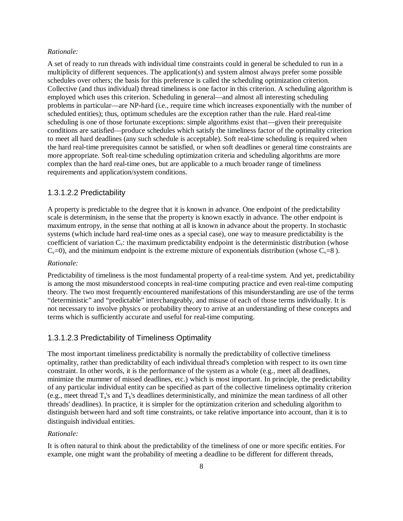#### *Rationale:*

A set of ready to run threads with individual time constraints could in general be scheduled to run in a multiplicity of different sequences. The application(s) and system almost always prefer some possible schedules over others; the basis for this preference is called the scheduling optimization criterion. Collective (and thus individual) thread timeliness is one factor in this criterion. A scheduling algorithm is employed which uses this criterion. Scheduling in general— and almost all interesting scheduling problems in particular— are NP-hard (i.e., require time which increases exponentially with the number of scheduled entities); thus, optimum schedules are the exception rather than the rule. Hard real-time scheduling is one of those fortunate exceptions: simple algorithms exist that— given their prerequisite conditions are satisfied— produce schedules which satisfy the timeliness factor of the optimality criterion to meet all hard deadlines (any such schedule is acceptable). Soft real-time scheduling is required when the hard real-time prerequisites cannot be satisfied, or when soft deadlines or general time constraints are more appropriate. Soft real-time scheduling optimization criteria and scheduling algorithms are more complex than the hard real-time ones, but are applicable to a much broader range of timeliness requirements and application/system conditions.

#### 1.3.1.2.2 Predictability

A property is predictable to the degree that it is known in advance. One endpoint of the predictability scale is determinism, in the sense that the property is known exactly in advance. The other endpoint is maximum entropy, in the sense that nothing at all is known in advance about the property. In stochastic systems (which include hard real-time ones as a special case), one way to measure predictability is the coefficient of variation  $C_v$ : the maximum predictability endpoint is the deterministic distribution (whose  $C_v=0$ ), and the minimum endpoint is the extreme mixture of exponentials distribution (whose  $C_v=8$ ).

#### *Rationale:*

Predictability of timeliness is the most fundamental property of a real-time system. And yet, predictability is among the most misunderstood concepts in real-time computing practice and even real-time computing theory. The two most frequently encountered manifestations of this misunderstanding are use of the terms "deterministic" and "predictable"interchangeably, and misuse of each of those terms individually. It is not necessary to involve physics or probability theory to arrive at an understanding of these concepts and terms which is sufficiently accurate and useful for real-time computing.

## 1.3.1.2.3 Predictability of Timeliness Optimality

The most important timeliness predictability is normally the predictability of collective timeliness optimality, rather than predictability of each individual thread's completion with respect to its own time constraint. In other words, it is the performance of the system as a whole (e.g., meet all deadlines, minimize the mummer of missed deadlines, etc.) which is most important. In principle, the predictability of any particular individual entity can be specified as part of the collective timeliness optimality criterion (e.g., meet thread  $T_a$ 's and  $T_b$ 's deadlines deterministically, and minimize the mean tardiness of all other threads' deadlines). In practice, it is simpler for the optimization criterion and scheduling algorithm to distinguish between hard and soft time constraints, or take relative importance into account, than it is to distinguish individual entities.

#### *Rationale:*

It is often natural to think about the predictability of the timeliness of one or more specific entities. For example, one might want the probability of meeting a deadline to be different for different threads,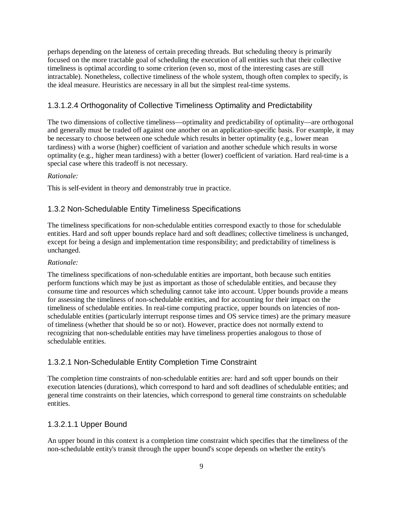perhaps depending on the lateness of certain preceding threads. But scheduling theory is primarily focused on the more tractable goal of scheduling the execution of all entities such that their collective timeliness is optimal according to some criterion (even so, most of the interesting cases are still intractable). Nonetheless, collective timeliness of the whole system, though often complex to specify, is the ideal measure. Heuristics are necessary in all but the simplest real-time systems.

## 1.3.1.2.4 Orthogonality of Collective Timeliness Optimality and Predictability

The two dimensions of collective timeliness— optimality and predictability of optimality— are orthogonal and generally must be traded off against one another on an application-specific basis. For example, it may be necessary to choose between one schedule which results in better optimality (e.g., lower mean tardiness) with a worse (higher) coefficient of variation and another schedule which results in worse optimality (e.g., higher mean tardiness) with a better (lower) coefficient of variation. Hard real-time is a special case where this tradeoff is not necessary.

## *Rationale:*

This is self-evident in theory and demonstrably true in practice.

## 1.3.2 Non-Schedulable Entity Timeliness Specifications

The timeliness specifications for non-schedulable entities correspond exactly to those for schedulable entities. Hard and soft upper bounds replace hard and soft deadlines; collective timeliness is unchanged, except for being a design and implementation time responsibility; and predictability of timeliness is unchanged.

## *Rationale:*

The timeliness specifications of non-schedulable entities are important, both because such entities perform functions which may be just as important as those of schedulable entities, and because they consume time and resources which scheduling cannot take into account. Upper bounds provide a means for assessing the timeliness of non-schedulable entities, and for accounting for their impact on the timeliness of schedulable entities. In real-time computing practice, upper bounds on latencies of nonschedulable entities (particularly interrupt response times and OS service times) are the primary measure of timeliness (whether that should be so or not). However, practice does not normally extend to recognizing that non-schedulable entities may have timeliness properties analogous to those of schedulable entities.

## 1.3.2.1 Non-Schedulable Entity Completion Time Constraint

The completion time constraints of non-schedulable entities are: hard and soft upper bounds on their execution latencies (durations), which correspond to hard and soft deadlines of schedulable entities; and general time constraints on their latencies, which correspond to general time constraints on schedulable entities.

## 1.3.2.1.1 Upper Bound

An upper bound in this context is a completion time constraint which specifies that the timeliness of the non-schedulable entity's transit through the upper bound's scope depends on whether the entity's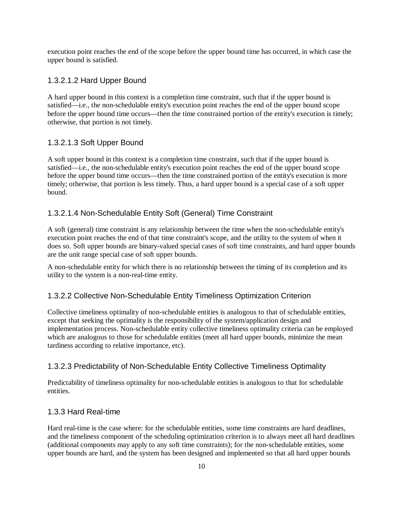execution point reaches the end of the scope before the upper bound time has occurred, in which case the upper bound is satisfied.

## 1.3.2.1.2 Hard Upper Bound

A hard upper bound in this context is a completion time constraint, such that if the upper bound is satisfied— i.e., the non-schedulable entity's execution point reaches the end of the upper bound scope before the upper bound time occurs— then the time constrained portion of the entity's execution is timely; otherwise, that portion is not timely.

## 1.3.2.1.3 Soft Upper Bound

A soft upper bound in this context is a completion time constraint, such that if the upper bound is satisfied— i.e., the non-schedulable entity's execution point reaches the end of the upper bound scope before the upper bound time occurs— then the time constrained portion of the entity's execution is more timely; otherwise, that portion is less timely. Thus, a hard upper bound is a special case of a soft upper bound.

## 1.3.2.1.4 Non-Schedulable Entity Soft (General) Time Constraint

A soft (general) time constraint is any relationship between the time when the non-schedulable entity's execution point reaches the end of that time constraint's scope, and the utility to the system of when it does so. Soft upper bounds are binary-valued special cases of soft time constraints, and hard upper bounds are the unit range special case of soft upper bounds.

A non-schedulable entity for which there is no relationship between the timing of its completion and its utility to the system is a non-real-time entity.

## 1.3.2.2 Collective Non-Schedulable Entity Timeliness Optimization Criterion

Collective timeliness optimality of non-schedulable entities is analogous to that of schedulable entities, except that seeking the optimality is the responsibility of the system/application design and implementation process. Non-schedulable entity collective timeliness optimality criteria can be employed which are analogous to those for schedulable entities (meet all hard upper bounds, minimize the mean tardiness according to relative importance, etc).

## 1.3.2.3 Predictability of Non-Schedulable Entity Collective Timeliness Optimality

Predictability of timeliness optimality for non-schedulable entities is analogous to that for schedulable entities.

## 1.3.3 Hard Real-time

Hard real-time is the case where: for the schedulable entities, some time constraints are hard deadlines, and the timeliness component of the scheduling optimization criterion is to always meet all hard deadlines (additional components may apply to any soft time constraints); for the non-schedulable entities, some upper bounds are hard, and the system has been designed and implemented so that all hard upper bounds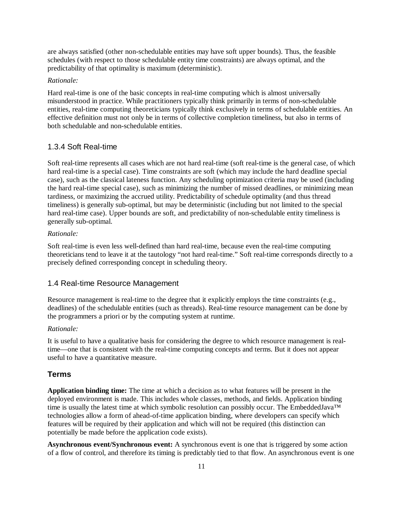are always satisfied (other non-schedulable entities may have soft upper bounds). Thus, the feasible schedules (with respect to those schedulable entity time constraints) are always optimal, and the predictability of that optimality is maximum (deterministic).

#### *Rationale:*

Hard real-time is one of the basic concepts in real-time computing which is almost universally misunderstood in practice. While practitioners typically think primarily in terms of non-schedulable entities, real-time computing theoreticians typically think exclusively in terms of schedulable entities. An effective definition must not only be in terms of collective completion timeliness, but also in terms of both schedulable and non-schedulable entities.

## 1.3.4 Soft Real-time

Soft real-time represents all cases which are not hard real-time (soft real-time is the general case, of which hard real-time is a special case). Time constraints are soft (which may include the hard deadline special case), such as the classical lateness function. Any scheduling optimization criteria may be used (including the hard real-time special case), such as minimizing the number of missed deadlines, or minimizing mean tardiness, or maximizing the accrued utility. Predictability of schedule optimality (and thus thread timeliness) is generally sub-optimal, but may be deterministic (including but not limited to the special hard real-time case). Upper bounds are soft, and predictability of non-schedulable entity timeliness is generally sub-optimal.

#### *Rationale:*

Soft real-time is even less well-defined than hard real-time, because even the real-time computing theoreticians tend to leave it at the tautology "not hard real-time." Soft real-time corresponds directly to a precisely defined corresponding concept in scheduling theory.

## 1.4 Real-time Resource Management

Resource management is real-time to the degree that it explicitly employs the time constraints (e.g., deadlines) of the schedulable entities (such as threads). Real-time resource management can be done by the programmers a priori or by the computing system at runtime.

#### *Rationale:*

It is useful to have a qualitative basis for considering the degree to which resource management is realtime— one that is consistent with the real-time computing concepts and terms. But it does not appear useful to have a quantitative measure.

## **Terms**

**Application binding time:** The time at which a decision as to what features will be present in the deployed environment is made. This includes whole classes, methods, and fields. Application binding time is usually the latest time at which symbolic resolution can possibly occur. The EmbeddedJava™ technologies allow a form of ahead-of-time application binding, where developers can specify which features will be required by their application and which will not be required (this distinction can potentially be made before the application code exists).

**Asynchronous event/Synchronous event:** A synchronous event is one that is triggered by some action of a flow of control, and therefore its timing is predictably tied to that flow. An asynchronous event is one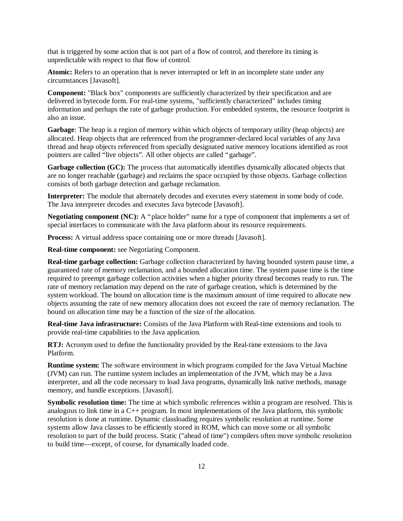that is triggered by some action that is not part of a flow of control, and therefore its timing is unpredictable with respect to that flow of control.

**Atomic:** Refers to an operation that is never interrupted or left in an incomplete state under any circumstances [Javasoft].

**Component:** "Black box" components are sufficiently characterized by their specification and are delivered in bytecode form. For real-time systems, "sufficiently characterized" includes timing information and perhaps the rate of garbage production. For embedded systems, the resource footprint is also an issue.

**Garbage**: The heap is a region of memory within which objects of temporary utility (heap objects) are allocated. Heap objects that are referenced from the programmer-declared local variables of any Java thread and heap objects referenced from specially designated native memory locations identified as root pointers are called "live objects". All other objects are called "garbage".

**Garbage collection (GC):** The process that automatically identifies dynamically allocated objects that are no longer reachable (garbage) and reclaims the space occupied by those objects. Garbage collection consists of both garbage detection and garbage reclamation.

**Interpreter:** The module that alternately decodes and executes every statement in some body of code. The Java interpreter decodes and executes Java bytecode [Javasoft].

**Negotiating component (NC):** A "place holder" name for a type of component that implements a set of special interfaces to communicate with the Java platform about its resource requirements.

**Process:** A virtual address space containing one or more threads [Javasoft].

**Real-time component:** see Negotiating Component.

**Real-time garbage collection:** Garbage collection characterized by having bounded system pause time, a guaranteed rate of memory reclamation, and a bounded allocation time. The system pause time is the time required to preempt garbage collection activities when a higher priority thread becomes ready to run. The rate of memory reclamation may depend on the rate of garbage creation, which is determined by the system workload. The bound on allocation time is the maximum amount of time required to allocate new objects assuming the rate of new memory allocation does not exceed the rate of memory reclamation. The bound on allocation time may be a function of the size of the allocation.

**Real-time Java infrastructure:** Consists of the Java Platform with Real-time extensions and tools to provide real-time capabilities to the Java application.

**RTJ:** Acronym used to define the functionality provided by the Real-time extensions to the Java Platform.

**Runtime system:** The software environment in which programs compiled for the Java Virtual Machine (JVM) can run. The runtime system includes an implementation of the JVM, which may be a Java interpreter, and all the code necessary to load Java programs, dynamically link native methods, manage memory, and handle exceptions. [Javasoft].

**Symbolic resolution time:** The time at which symbolic references within a program are resolved. This is analogous to link time in a  $C_{++}$  program. In most implementations of the Java platform, this symbolic resolution is done at runtime. Dynamic classloading requires symbolic resolution at runtime. Some systems allow Java classes to be efficiently stored in ROM, which can move some or all symbolic resolution to part of the build process. Static ("ahead of time") compilers often move symbolic resolution to build time— except, of course, for dynamically loaded code.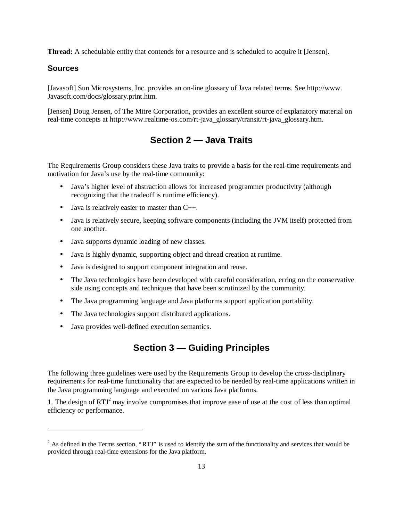**Thread:** A schedulable entity that contends for a resource and is scheduled to acquire it [Jensen].

## **Sources**

<u>.</u>

[Javasoft] Sun Microsystems, Inc. provides an on-line glossary of Java related terms. See http://www. Javasoft.com/docs/glossary.print.htm.

[Jensen] Doug Jensen, of The Mitre Corporation, provides an excellent source of explanatory material on real-time concepts at http://www.realtime-os.com/rt-java\_glossary/transit/rt-java\_glossary.htm.

## **Section 2 — Java Traits**

The Requirements Group considers these Java traits to provide a basis for the real-time requirements and motivation for Java's use by the real-time community:

- Java's higher level of abstraction allows for increased programmer productivity (although recognizing that the tradeoff is runtime efficiency).
- Java is relatively easier to master than C++.
- Java is relatively secure, keeping software components (including the JVM itself) protected from one another.
- Java supports dynamic loading of new classes.
- Java is highly dynamic, supporting object and thread creation at runtime.
- Java is designed to support component integration and reuse.
- The Java technologies have been developed with careful consideration, erring on the conservative side using concepts and techniques that have been scrutinized by the community.
- The Java programming language and Java platforms support application portability.
- The Java technologies support distributed applications.
- Java provides well-defined execution semantics.

## **Section 3 — Guiding Principles**

The following three guidelines were used by the Requirements Group to develop the cross-disciplinary requirements for real-time functionality that are expected to be needed by real-time applications written in the Java programming language and executed on various Java platforms.

1. The design of  $RTJ<sup>2</sup>$  may involve compromises that improve ease of use at the cost of less than optimal efficiency or performance.

 $2^2$  As defined in the Terms section, "RTJ" is used to identify the sum of the functionality and services that would be provided through real-time extensions for the Java platform.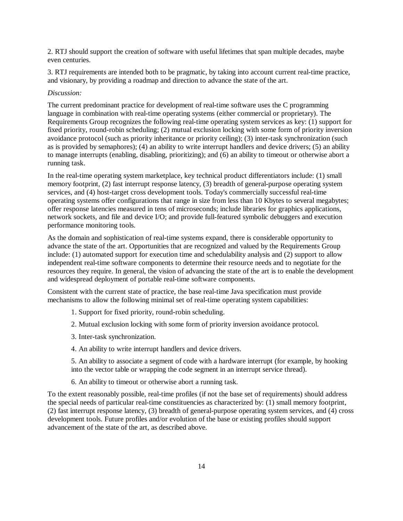2. RTJ should support the creation of software with useful lifetimes that span multiple decades, maybe even centuries.

3. RTJ requirements are intended both to be pragmatic, by taking into account current real-time practice, and visionary, by providing a roadmap and direction to advance the state of the art.

### *Discussion:*

The current predominant practice for development of real-time software uses the C programming language in combination with real-time operating systems (either commercial or proprietary). The Requirements Group recognizes the following real-time operating system services as key: (1) support for fixed priority, round-robin scheduling; (2) mutual exclusion locking with some form of priority inversion avoidance protocol (such as priority inheritance or priority ceiling); (3) inter-task synchronization (such as is provided by semaphores); (4) an ability to write interrupt handlers and device drivers; (5) an ability to manage interrupts (enabling, disabling, prioritizing); and (6) an ability to timeout or otherwise abort a running task.

In the real-time operating system marketplace, key technical product differentiators include: (1) small memory footprint, (2) fast interrupt response latency, (3) breadth of general-purpose operating system services, and (4) host-target cross development tools. Today's commercially successful real-time operating systems offer configurations that range in size from less than 10 Kbytes to several megabytes; offer response latencies measured in tens of microseconds; include libraries for graphics applications, network sockets, and file and device I/O; and provide full-featured symbolic debuggers and execution performance monitoring tools.

As the domain and sophistication of real-time systems expand, there is considerable opportunity to advance the state of the art. Opportunities that are recognized and valued by the Requirements Group include: (1) automated support for execution time and schedulability analysis and (2) support to allow independent real-time software components to determine their resource needs and to negotiate for the resources they require. In general, the vision of advancing the state of the art is to enable the development and widespread deployment of portable real-time software components.

Consistent with the current state of practice, the base real-time Java specification must provide mechanisms to allow the following minimal set of real-time operating system capabilities:

- 1. Support for fixed priority, round-robin scheduling.
- 2. Mutual exclusion locking with some form of priority inversion avoidance protocol.
- 3. Inter-task synchronization.
- 4. An ability to write interrupt handlers and device drivers.

5. An ability to associate a segment of code with a hardware interrupt (for example, by hooking into the vector table or wrapping the code segment in an interrupt service thread).

6. An ability to timeout or otherwise abort a running task.

To the extent reasonably possible, real-time profiles (if not the base set of requirements) should address the special needs of particular real-time constituencies as characterized by: (1) small memory footprint, (2) fast interrupt response latency, (3) breadth of general-purpose operating system services, and (4) cross development tools. Future profiles and/or evolution of the base or existing profiles should support advancement of the state of the art, as described above.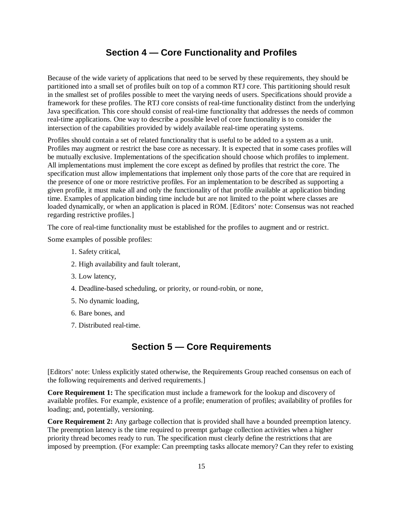## **Section 4 — Core Functionality and Profiles**

Because of the wide variety of applications that need to be served by these requirements, they should be partitioned into a small set of profiles built on top of a common RTJ core. This partitioning should result in the smallest set of profiles possible to meet the varying needs of users. Specifications should provide a framework for these profiles. The RTJ core consists of real-time functionality distinct from the underlying Java specification. This core should consist of real-time functionality that addresses the needs of common real-time applications. One way to describe a possible level of core functionality is to consider the intersection of the capabilities provided by widely available real-time operating systems.

Profiles should contain a set of related functionality that is useful to be added to a system as a unit. Profiles may augment or restrict the base core as necessary. It is expected that in some cases profiles will be mutually exclusive. Implementations of the specification should choose which profiles to implement. All implementations must implement the core except as defined by profiles that restrict the core. The specification must allow implementations that implement only those parts of the core that are required in the presence of one or more restrictive profiles. For an implementation to be described as supporting a given profile, it must make all and only the functionality of that profile available at application binding time. Examples of application binding time include but are not limited to the point where classes are loaded dynamically, or when an application is placed in ROM. [Editors' note: Consensus was not reached regarding restrictive profiles.]

The core of real-time functionality must be established for the profiles to augment and or restrict.

Some examples of possible profiles:

- 1. Safety critical,
- 2. High availability and fault tolerant,
- 3. Low latency,
- 4. Deadline-based scheduling, or priority, or round-robin, or none,
- 5. No dynamic loading,
- 6. Bare bones, and
- 7. Distributed real-time.

## **Section 5 — Core Requirements**

[Editors' note: Unless explicitly stated otherwise, the Requirements Group reached consensus on each of the following requirements and derived requirements.]

**Core Requirement 1:** The specification must include a framework for the lookup and discovery of available profiles. For example, existence of a profile; enumeration of profiles; availability of profiles for loading; and, potentially, versioning.

**Core Requirement 2:** Any garbage collection that is provided shall have a bounded preemption latency. The preemption latency is the time required to preempt garbage collection activities when a higher priority thread becomes ready to run. The specification must clearly define the restrictions that are imposed by preemption. (For example: Can preempting tasks allocate memory? Can they refer to existing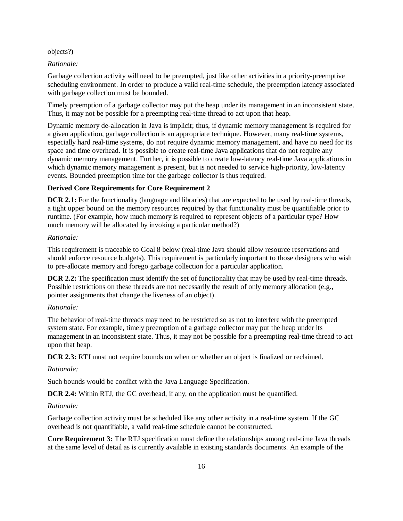#### objects?)

#### *Rationale:*

Garbage collection activity will need to be preempted, just like other activities in a priority-preemptive scheduling environment. In order to produce a valid real-time schedule, the preemption latency associated with garbage collection must be bounded.

Timely preemption of a garbage collector may put the heap under its management in an inconsistent state. Thus, it may not be possible for a preempting real-time thread to act upon that heap.

Dynamic memory de-allocation in Java is implicit; thus, if dynamic memory management is required for a given application, garbage collection is an appropriate technique. However, many real-time systems, especially hard real-time systems, do not require dynamic memory management, and have no need for its space and time overhead. It is possible to create real-time Java applications that do not require any dynamic memory management. Further, it is possible to create low-latency real-time Java applications in which dynamic memory management is present, but is not needed to service high-priority, low-latency events. Bounded preemption time for the garbage collector is thus required.

### **Derived Core Requirements for Core Requirement 2**

**DCR 2.1:** For the functionality (language and libraries) that are expected to be used by real-time threads, a tight upper bound on the memory resources required by that functionality must be quantifiable prior to runtime. (For example, how much memory is required to represent objects of a particular type? How much memory will be allocated by invoking a particular method?)

#### *Rationale:*

This requirement is traceable to Goal 8 below (real-time Java should allow resource reservations and should enforce resource budgets). This requirement is particularly important to those designers who wish to pre-allocate memory and forego garbage collection for a particular application.

**DCR 2.2:** The specification must identify the set of functionality that may be used by real-time threads. Possible restrictions on these threads are not necessarily the result of only memory allocation (e.g., pointer assignments that change the liveness of an object).

#### *Rationale:*

The behavior of real-time threads may need to be restricted so as not to interfere with the preempted system state. For example, timely preemption of a garbage collector may put the heap under its management in an inconsistent state. Thus, it may not be possible for a preempting real-time thread to act upon that heap.

**DCR 2.3:** RTJ must not require bounds on when or whether an object is finalized or reclaimed.

#### *Rationale:*

Such bounds would be conflict with the Java Language Specification.

**DCR 2.4:** Within RTJ, the GC overhead, if any, on the application must be quantified.

#### *Rationale:*

Garbage collection activity must be scheduled like any other activity in a real-time system. If the GC overhead is not quantifiable, a valid real-time schedule cannot be constructed.

**Core Requirement 3:** The RTJ specification must define the relationships among real-time Java threads at the same level of detail as is currently available in existing standards documents. An example of the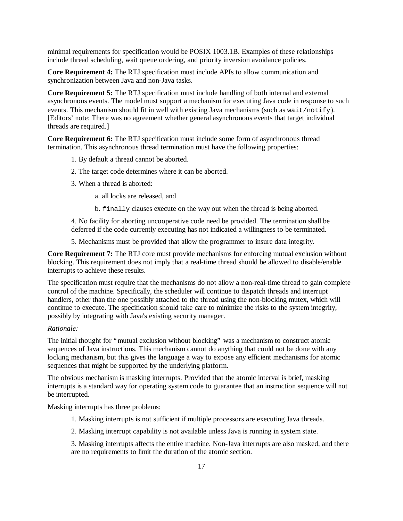minimal requirements for specification would be POSIX 1003.1B. Examples of these relationships include thread scheduling, wait queue ordering, and priority inversion avoidance policies.

**Core Requirement 4:** The RTJ specification must include APIs to allow communication and synchronization between Java and non-Java tasks.

**Core Requirement 5:** The RTJ specification must include handling of both internal and external asynchronous events. The model must support a mechanism for executing Java code in response to such events. This mechanism should fit in well with existing Java mechanisms (such as wait/notify). [Editors' note: There was no agreement whether general asynchronous events that target individual threads are required.]

**Core Requirement 6:** The RTJ specification must include some form of asynchronous thread termination. This asynchronous thread termination must have the following properties:

- 1. By default a thread cannot be aborted.
- 2. The target code determines where it can be aborted.
- 3. When a thread is aborted:
	- a. all locks are released, and
	- b. finally clauses execute on the way out when the thread is being aborted.

4. No facility for aborting uncooperative code need be provided. The termination shall be deferred if the code currently executing has not indicated a willingness to be terminated.

5. Mechanisms must be provided that allow the programmer to insure data integrity.

**Core Requirement 7:** The RTJ core must provide mechanisms for enforcing mutual exclusion without blocking. This requirement does not imply that a real-time thread should be allowed to disable/enable interrupts to achieve these results.

The specification must require that the mechanisms do not allow a non-real-time thread to gain complete control of the machine. Specifically, the scheduler will continue to dispatch threads and interrupt handlers, other than the one possibly attached to the thread using the non-blocking mutex, which will continue to execute. The specification should take care to minimize the risks to the system integrity, possibly by integrating with Java's existing security manager.

### *Rationale:*

The initial thought for "mutual exclusion without blocking" was a mechanism to construct atomic sequences of Java instructions. This mechanism cannot do anything that could not be done with any locking mechanism, but this gives the language a way to expose any efficient mechanisms for atomic sequences that might be supported by the underlying platform.

The obvious mechanism is masking interrupts. Provided that the atomic interval is brief, masking interrupts is a standard way for operating system code to guarantee that an instruction sequence will not be interrupted.

Masking interrupts has three problems:

- 1. Masking interrupts is not sufficient if multiple processors are executing Java threads.
- 2. Masking interrupt capability is not available unless Java is running in system state.

3. Masking interrupts affects the entire machine. Non-Java interrupts are also masked, and there are no requirements to limit the duration of the atomic section.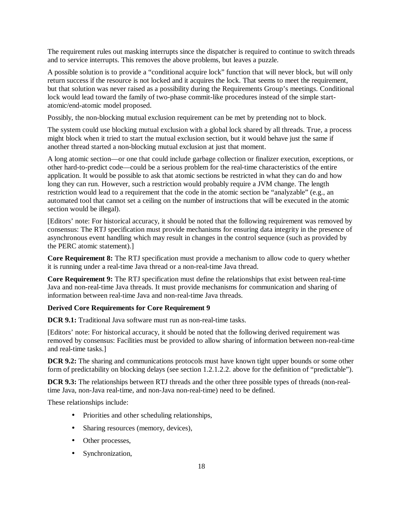The requirement rules out masking interrupts since the dispatcher is required to continue to switch threads and to service interrupts. This removes the above problems, but leaves a puzzle.

A possible solution is to provide a "conditional acquire lock" function that will never block, but will only return success if the resource is not locked and it acquires the lock. That seems to meet the requirement, but that solution was never raised as a possibility during the Requirements Group's meetings. Conditional lock would lead toward the family of two-phase commit-like procedures instead of the simple startatomic/end-atomic model proposed.

Possibly, the non-blocking mutual exclusion requirement can be met by pretending not to block.

The system could use blocking mutual exclusion with a global lock shared by all threads. True, a process might block when it tried to start the mutual exclusion section, but it would behave just the same if another thread started a non-blocking mutual exclusion at just that moment.

A long atomic section— or one that could include garbage collection or finalizer execution, exceptions, or other hard-to-predict code— could be a serious problem for the real-time characteristics of the entire application. It would be possible to ask that atomic sections be restricted in what they can do and how long they can run. However, such a restriction would probably require a JVM change. The length restriction would lead to a requirement that the code in the atomic section be "analyzable" (e.g., an automated tool that cannot set a ceiling on the number of instructions that will be executed in the atomic section would be illegal).

[Editors' note: For historical accuracy, it should be noted that the following requirement was removed by consensus: The RTJ specification must provide mechanisms for ensuring data integrity in the presence of asynchronous event handling which may result in changes in the control sequence (such as provided by the PERC atomic statement).]

**Core Requirement 8:** The RTJ specification must provide a mechanism to allow code to query whether it is running under a real-time Java thread or a non-real-time Java thread.

**Core Requirement 9:** The RTJ specification must define the relationships that exist between real-time Java and non-real-time Java threads. It must provide mechanisms for communication and sharing of information between real-time Java and non-real-time Java threads.

## **Derived Core Requirements for Core Requirement 9**

**DCR 9.1:** Traditional Java software must run as non-real-time tasks.

[Editors' note: For historical accuracy, it should be noted that the following derived requirement was removed by consensus: Facilities must be provided to allow sharing of information between non-real-time and real-time tasks.]

**DCR 9.2:** The sharing and communications protocols must have known tight upper bounds or some other form of predictability on blocking delays (see section 1.2.1.2.2. above for the definition of "predictable").

**DCR 9.3:** The relationships between RTJ threads and the other three possible types of threads (non-realtime Java, non-Java real-time, and non-Java non-real-time) need to be defined.

These relationships include:

- Priorities and other scheduling relationships,
- Sharing resources (memory, devices),
- Other processes,
- Synchronization,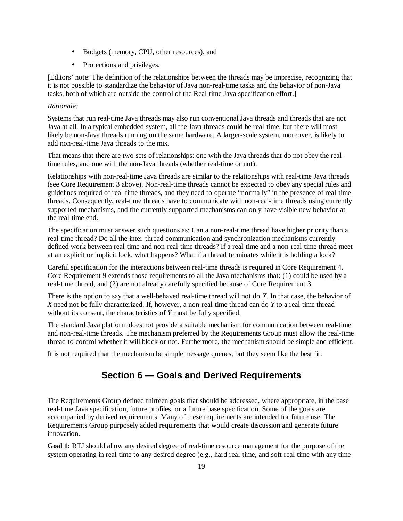- Budgets (memory, CPU, other resources), and
- Protections and privileges.

[Editors' note: The definition of the relationships between the threads may be imprecise, recognizing that it is not possible to standardize the behavior of Java non-real-time tasks and the behavior of non-Java tasks, both of which are outside the control of the Real-time Java specification effort.]

## *Rationale:*

Systems that run real-time Java threads may also run conventional Java threads and threads that are not Java at all. In a typical embedded system, all the Java threads could be real-time, but there will most likely be non-Java threads running on the same hardware. A larger-scale system, moreover, is likely to add non-real-time Java threads to the mix.

That means that there are two sets of relationships: one with the Java threads that do not obey the realtime rules, and one with the non-Java threads (whether real-time or not).

Relationships with non-real-time Java threads are similar to the relationships with real-time Java threads (see Core Requirement 3 above). Non-real-time threads cannot be expected to obey any special rules and guidelines required of real-time threads, and they need to operate "normally" in the presence of real-time threads. Consequently, real-time threads have to communicate with non-real-time threads using currently supported mechanisms, and the currently supported mechanisms can only have visible new behavior at the real-time end.

The specification must answer such questions as: Can a non-real-time thread have higher priority than a real-time thread? Do all the inter-thread communication and synchronization mechanisms currently defined work between real-time and non-real-time threads? If a real-time and a non-real-time thread meet at an explicit or implicit lock, what happens? What if a thread terminates while it is holding a lock?

Careful specification for the interactions between real-time threads is required in Core Requirement 4. Core Requirement 9 extends those requirements to all the Java mechanisms that: (1) could be used by a real-time thread, and (2) are not already carefully specified because of Core Requirement 3.

There is the option to say that a well-behaved real-time thread will not do *X*. In that case, the behavior of *X* need not be fully characterized. If, however, a non-real-time thread can do *Y* to a real-time thread without its consent, the characteristics of *Y* must be fully specified.

The standard Java platform does not provide a suitable mechanism for communication between real-time and non-real-time threads. The mechanism preferred by the Requirements Group must allow the real-time thread to control whether it will block or not. Furthermore, the mechanism should be simple and efficient.

It is not required that the mechanism be simple message queues, but they seem like the best fit.

## **Section 6 — Goals and Derived Requirements**

The Requirements Group defined thirteen goals that should be addressed, where appropriate, in the base real-time Java specification, future profiles, or a future base specification. Some of the goals are accompanied by derived requirements. Many of these requirements are intended for future use. The Requirements Group purposely added requirements that would create discussion and generate future innovation.

**Goal 1:** RTJ should allow any desired degree of real-time resource management for the purpose of the system operating in real-time to any desired degree (e.g., hard real-time, and soft real-time with any time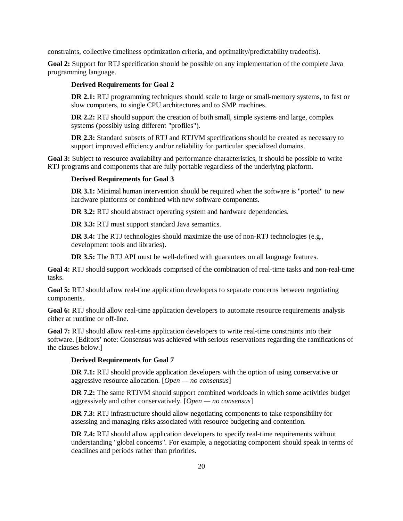constraints, collective timeliness optimization criteria, and optimality/predictability tradeoffs).

**Goal 2:** Support for RTJ specification should be possible on any implementation of the complete Java programming language.

### **Derived Requirements for Goal 2**

**DR 2.1:** RTJ programming techniques should scale to large or small-memory systems, to fast or slow computers, to single CPU architectures and to SMP machines.

**DR 2.2:** RTJ should support the creation of both small, simple systems and large, complex systems (possibly using different "profiles").

**DR 2.3:** Standard subsets of RTJ and RTJVM specifications should be created as necessary to support improved efficiency and/or reliability for particular specialized domains.

Goal 3: Subject to resource availability and performance characteristics, it should be possible to write RTJ programs and components that are fully portable regardless of the underlying platform.

#### **Derived Requirements for Goal 3**

**DR 3.1:** Minimal human intervention should be required when the software is "ported" to new hardware platforms or combined with new software components.

**DR 3.2:** RTJ should abstract operating system and hardware dependencies.

**DR 3.3:** RTJ must support standard Java semantics.

**DR 3.4:** The RTJ technologies should maximize the use of non-RTJ technologies (e.g., development tools and libraries).

**DR 3.5:** The RTJ API must be well-defined with guarantees on all language features.

**Goal 4:** RTJ should support workloads comprised of the combination of real-time tasks and non-real-time tasks.

**Goal 5:** RTJ should allow real-time application developers to separate concerns between negotiating components.

**Goal 6:** RTJ should allow real-time application developers to automate resource requirements analysis either at runtime or off-line.

**Goal 7:** RTJ should allow real-time application developers to write real-time constraints into their software. [Editors' note: Consensus was achieved with serious reservations regarding the ramifications of the clauses below.]

#### **Derived Requirements for Goal 7**

**DR 7.1:** RTJ should provide application developers with the option of using conservative or aggressive resource allocation. [*Open — no consensus*]

**DR 7.2:** The same RTJVM should support combined workloads in which some activities budget aggressively and other conservatively. [*Open — no consensus*]

**DR 7.3:** RTJ infrastructure should allow negotiating components to take responsibility for assessing and managing risks associated with resource budgeting and contention.

**DR 7.4:** RTJ should allow application developers to specify real-time requirements without understanding "global concerns". For example, a negotiating component should speak in terms of deadlines and periods rather than priorities.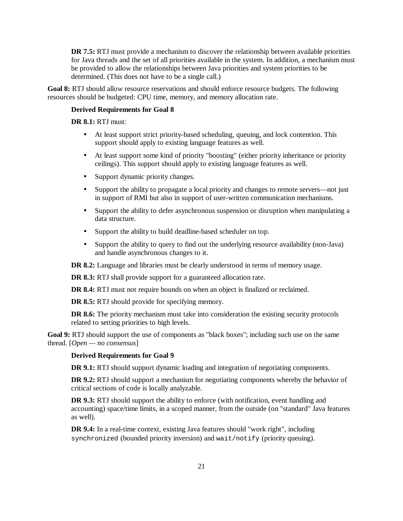**DR 7.5:** RTJ must provide a mechanism to discover the relationship between available priorities for Java threads and the set of all priorities available in the system. In addition, a mechanism must be provided to allow the relationships between Java priorities and system priorities to be determined. (This does not have to be a single call.)

**Goal 8:** RTJ should allow resource reservations and should enforce resource budgets. The following resources should be budgeted: CPU time, memory, and memory allocation rate.

#### **Derived Requirements for Goal 8**

**DR 8.1:** RTJ must:

- At least support strict priority-based scheduling, queuing, and lock contention. This support should apply to existing language features as well.
- At least support some kind of priority "boosting" (either priority inheritance or priority ceilings). This support should apply to existing language features as well.
- Support dynamic priority changes.
- Support the ability to propagate a local priority and changes to remote servers—not just in support of RMI but also in support of user-written communication mechanisms.
- Support the ability to defer asynchronous suspension or disruption when manipulating a data structure.
- Support the ability to build deadline-based scheduler on top.
- Support the ability to query to find out the underlying resource availability (non-Java) and handle asynchronous changes to it.

**DR 8.2:** Language and libraries must be clearly understood in terms of memory usage.

**DR 8.3:** RTJ shall provide support for a guaranteed allocation rate.

**DR 8.4:** RTJ must not require bounds on when an object is finalized or reclaimed.

**DR 8.5:** RTJ should provide for specifying memory.

**DR 8.6:** The priority mechanism must take into consideration the existing security protocols related to setting priorities to high levels.

**Goal 9:** RTJ should support the use of components as "black boxes"; including such use on the same thread. [*Open — no consensus*]

#### **Derived Requirements for Goal 9**

**DR 9.1:** RTJ should support dynamic loading and integration of negotiating components.

**DR 9.2:** RTJ should support a mechanism for negotiating components whereby the behavior of critical sections of code is locally analyzable.

**DR 9.3:** RTJ should support the ability to enforce (with notification, event handling and accounting) space/time limits, in a scoped manner, from the outside (on "standard" Java features as well).

**DR 9.4:** In a real-time context, existing Java features should "work right", including synchronized (bounded priority inversion) and wait/notify (priority queuing).